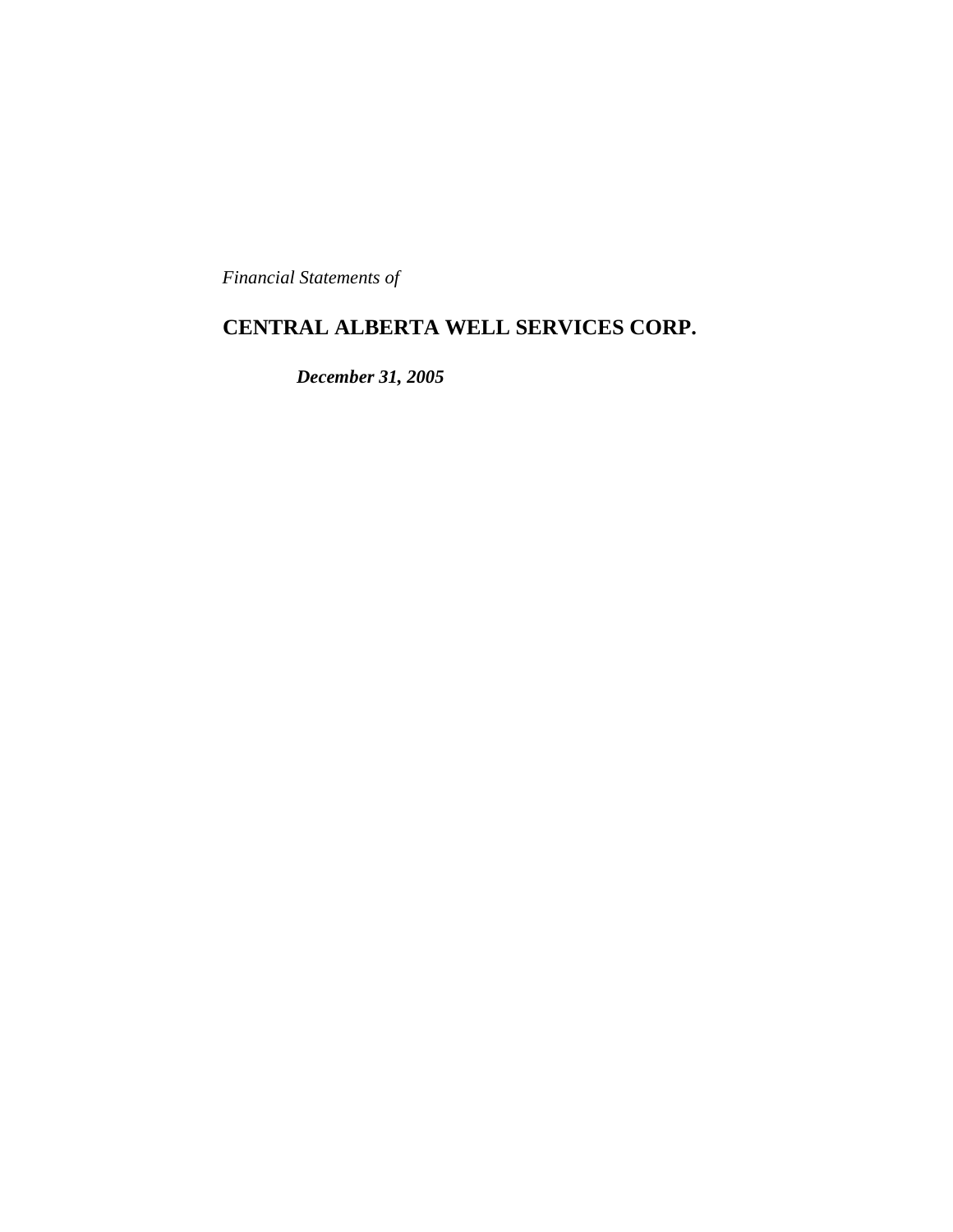*Financial Statements of*

# **CENTRAL ALBERTA WELL SERVICES CORP.**

*December 31, 2005*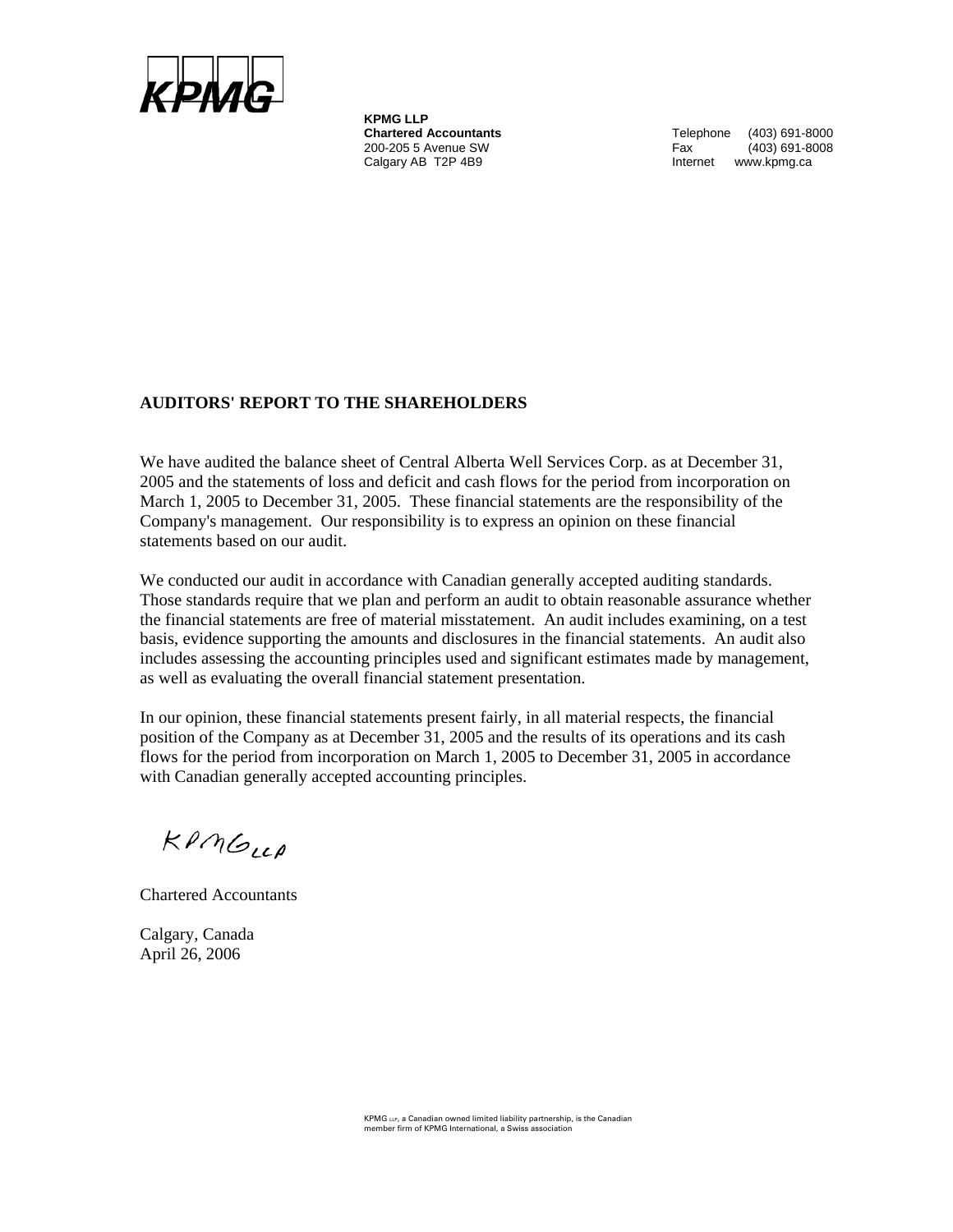

**KPMG LLP** 200-205 5 Avenue SW Calgary AB T2P 4B9 **Internet** www.kpmg.ca

**Chartered Accountants** Telephone (403) 691-8000<br>200-205 5 Avenue SW **Telephone** Fax (403) 691-8008

# **AUDITORS' REPORT TO THE SHAREHOLDERS**

We have audited the balance sheet of Central Alberta Well Services Corp. as at December 31, 2005 and the statements of loss and deficit and cash flows for the period from incorporation on March 1, 2005 to December 31, 2005. These financial statements are the responsibility of the Company's management. Our responsibility is to express an opinion on these financial statements based on our audit.

We conducted our audit in accordance with Canadian generally accepted auditing standards. Those standards require that we plan and perform an audit to obtain reasonable assurance whether the financial statements are free of material misstatement. An audit includes examining, on a test basis, evidence supporting the amounts and disclosures in the financial statements. An audit also includes assessing the accounting principles used and significant estimates made by management, as well as evaluating the overall financial statement presentation.

In our opinion, these financial statements present fairly, in all material respects, the financial position of the Company as at December 31, 2005 and the results of its operations and its cash flows for the period from incorporation on March 1, 2005 to December 31, 2005 in accordance with Canadian generally accepted accounting principles.

 $KPMG_{LLP}$ 

Chartered Accountants

Calgary, Canada April 26, 2006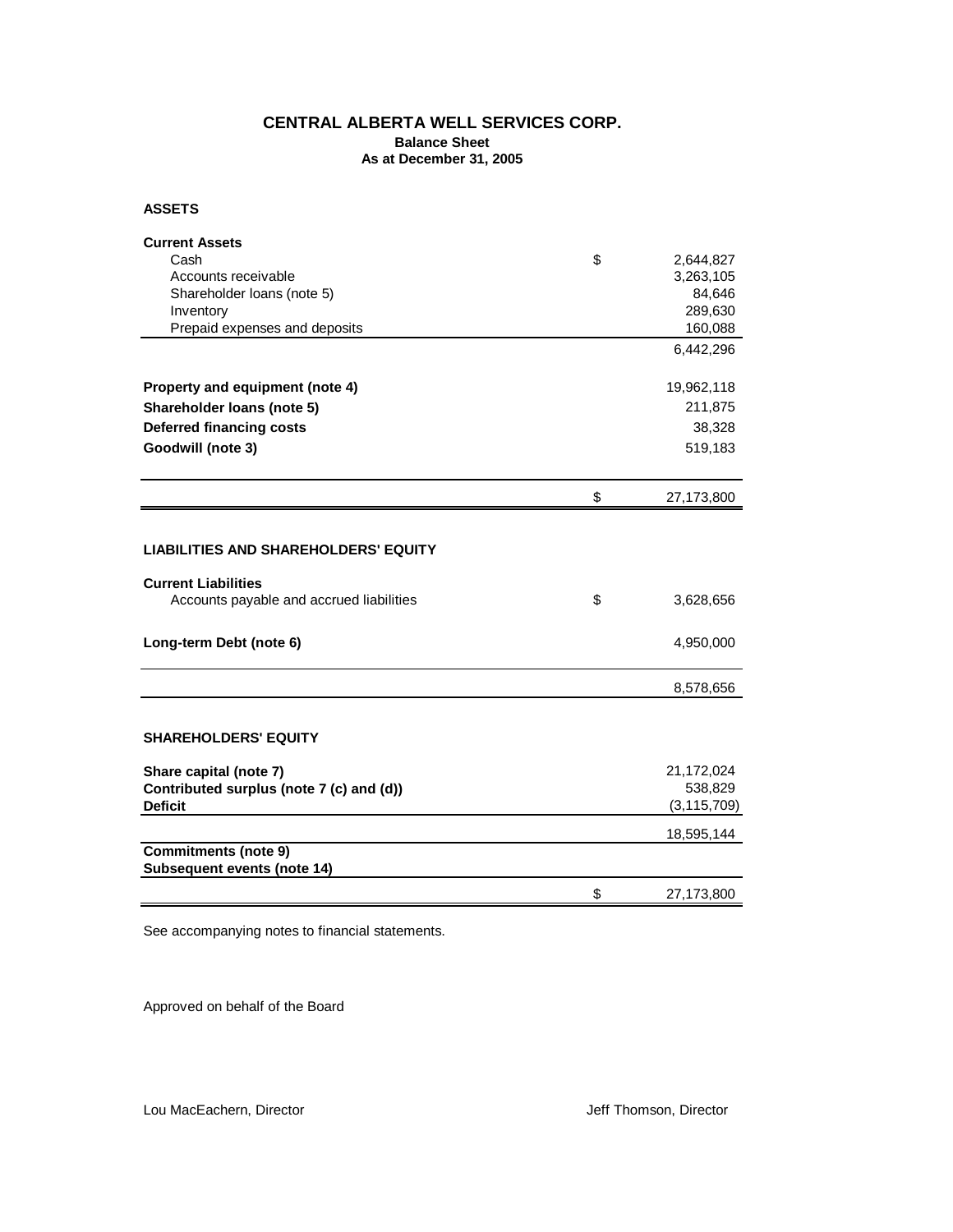# **CENTRAL ALBERTA WELL SERVICES CORP.**

**Balance Sheet As at December 31, 2005**

**ASSETS**

| <b>Current Assets</b>                       |                  |
|---------------------------------------------|------------------|
| Cash                                        | \$<br>2,644,827  |
| Accounts receivable                         | 3,263,105        |
| Shareholder Ioans (note 5)                  | 84,646           |
| Inventory                                   | 289,630          |
| Prepaid expenses and deposits               | 160,088          |
|                                             | 6,442,296        |
| Property and equipment (note 4)             | 19,962,118       |
| Shareholder Ioans (note 5)                  | 211,875          |
| <b>Deferred financing costs</b>             | 38,328           |
| Goodwill (note 3)                           | 519,183          |
|                                             |                  |
|                                             | \$<br>27,173,800 |
|                                             |                  |
| <b>LIABILITIES AND SHAREHOLDERS' EQUITY</b> |                  |
| <b>Current Liabilities</b>                  |                  |
| Accounts payable and accrued liabilities    | \$<br>3,628,656  |
|                                             |                  |
| Long-term Debt (note 6)                     | 4,950,000        |
|                                             | 8,578,656        |
|                                             |                  |
| <b>SHAREHOLDERS' EQUITY</b>                 |                  |
| Share capital (note 7)                      | 21,172,024       |
| Contributed surplus (note 7 (c) and (d))    | 538,829          |
| <b>Deficit</b>                              | (3, 115, 709)    |
|                                             | 18,595,144       |
| <b>Commitments (note 9)</b>                 |                  |
| Subsequent events (note 14)                 |                  |
|                                             | \$<br>27,173,800 |

See accompanying notes to financial statements.

Approved on behalf of the Board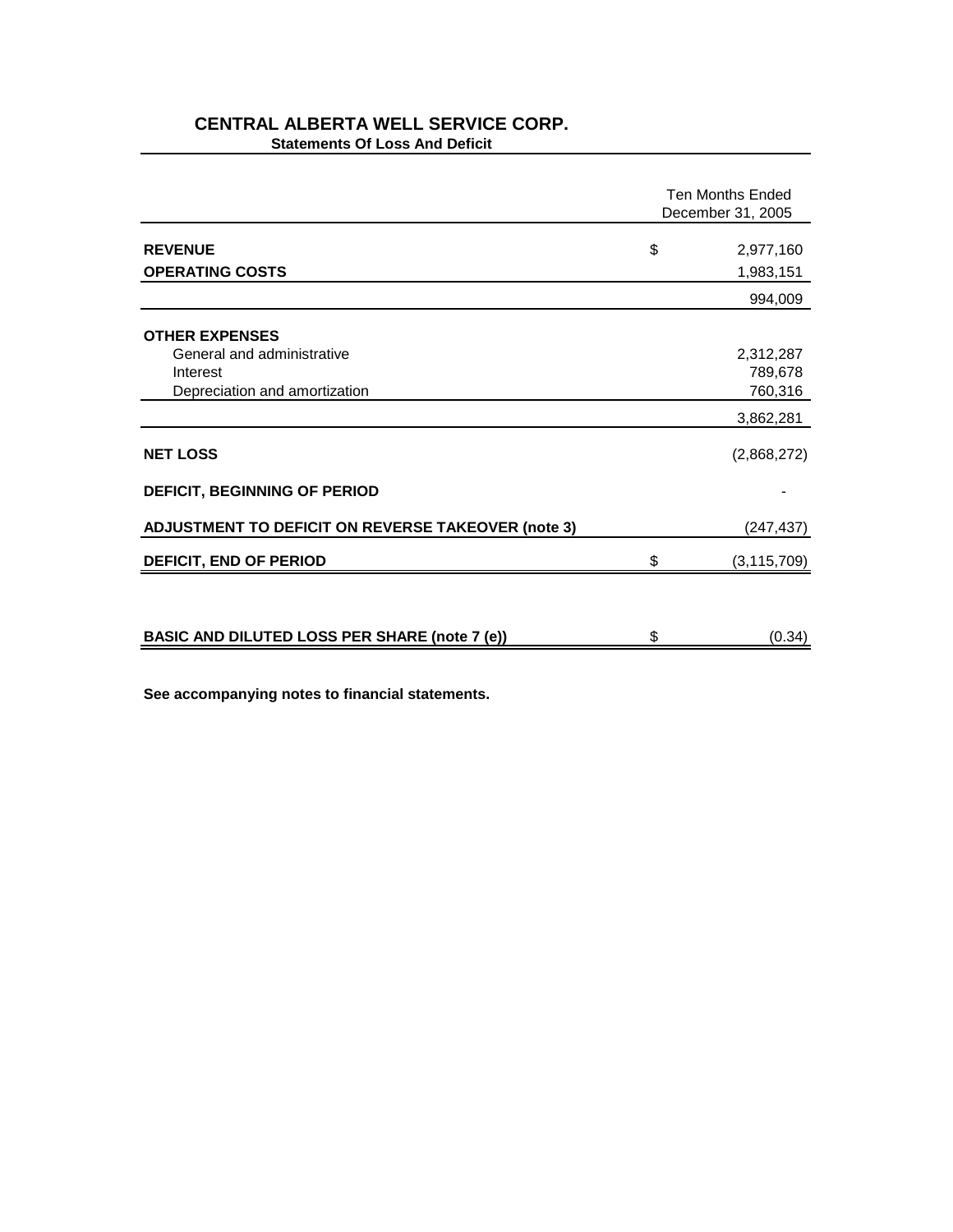# **CENTRAL ALBERTA WELL SERVICE CORP. Statements Of Loss And Deficit**

|                                                                                                                     |    | <b>Ten Months Ended</b><br>December 31, 2005                |  |
|---------------------------------------------------------------------------------------------------------------------|----|-------------------------------------------------------------|--|
| <b>REVENUE</b><br><b>OPERATING COSTS</b>                                                                            | \$ | 2,977,160<br>1,983,151                                      |  |
|                                                                                                                     |    | 994,009                                                     |  |
| <b>OTHER EXPENSES</b><br>General and administrative<br>Interest<br>Depreciation and amortization<br><b>NET LOSS</b> |    | 2,312,287<br>789,678<br>760,316<br>3,862,281<br>(2,868,272) |  |
| <b>DEFICIT, BEGINNING OF PERIOD</b>                                                                                 |    |                                                             |  |
| <b>ADJUSTMENT TO DEFICIT ON REVERSE TAKEOVER (note 3)</b>                                                           |    | (247, 437)                                                  |  |
| DEFICIT, END OF PERIOD                                                                                              | \$ | (3, 115, 709)                                               |  |
|                                                                                                                     |    |                                                             |  |
| <b>BASIC AND DILUTED LOSS PER SHARE (note 7 (e))</b>                                                                | \$ | (0.34)                                                      |  |

**See accompanying notes to financial statements.**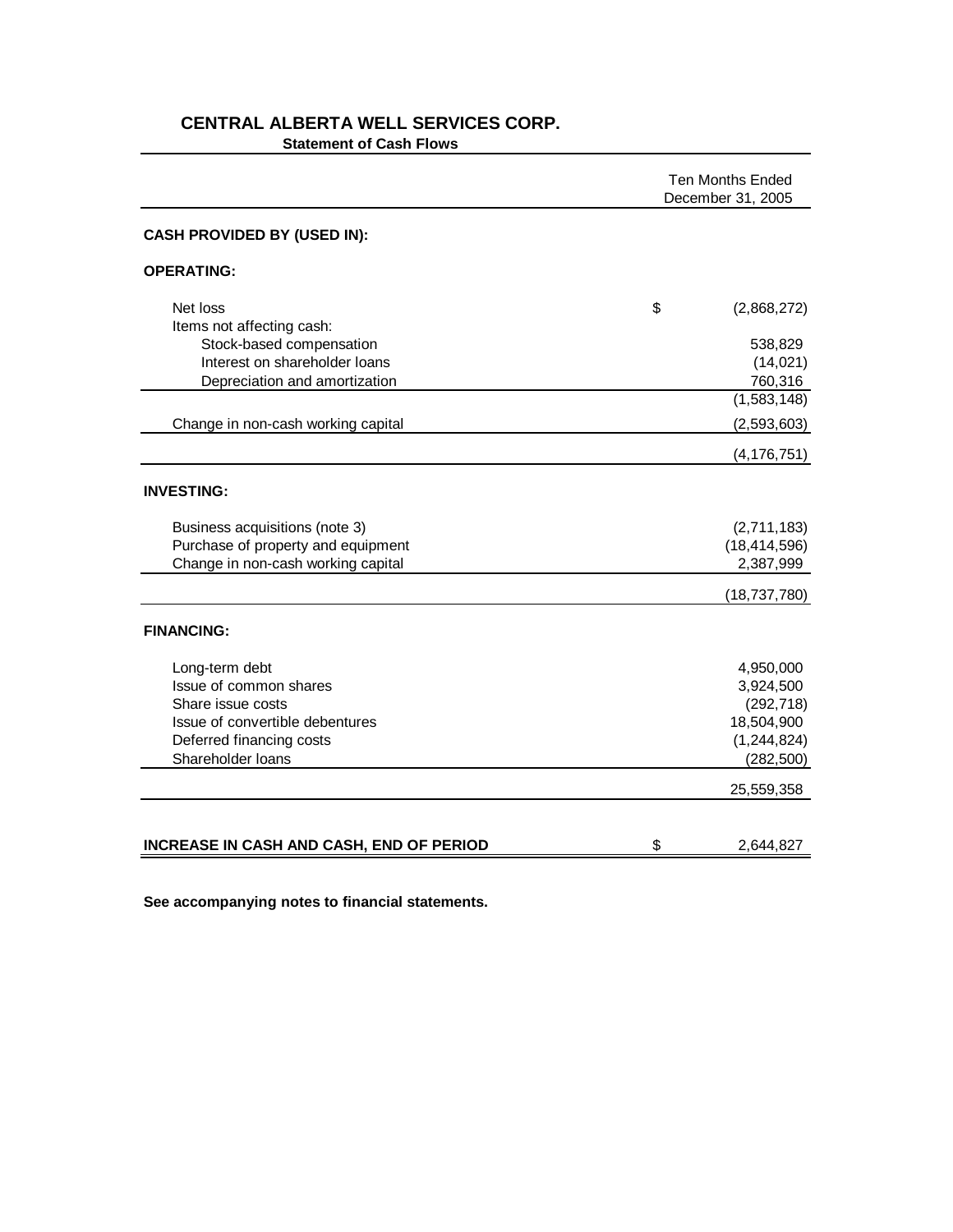|                                                 | <b>Ten Months Ended</b><br>December 31, 2005 |  |
|-------------------------------------------------|----------------------------------------------|--|
| <b>CASH PROVIDED BY (USED IN):</b>              |                                              |  |
| <b>OPERATING:</b>                               |                                              |  |
| Net loss                                        | \$<br>(2,868,272)                            |  |
| Items not affecting cash:                       |                                              |  |
| Stock-based compensation                        | 538,829                                      |  |
| Interest on shareholder loans                   | (14, 021)                                    |  |
| Depreciation and amortization                   | 760,316                                      |  |
|                                                 | (1,583,148)                                  |  |
| Change in non-cash working capital              | (2,593,603)                                  |  |
|                                                 | (4, 176, 751)                                |  |
| <b>INVESTING:</b>                               |                                              |  |
| Business acquisitions (note 3)                  | (2,711,183)                                  |  |
| Purchase of property and equipment              | (18, 414, 596)                               |  |
| Change in non-cash working capital              | 2,387,999                                    |  |
|                                                 | (18, 737, 780)                               |  |
| <b>FINANCING:</b>                               |                                              |  |
| Long-term debt                                  | 4,950,000                                    |  |
| Issue of common shares                          | 3,924,500                                    |  |
| Share issue costs                               | (292, 718)                                   |  |
| Issue of convertible debentures                 | 18,504,900                                   |  |
| Deferred financing costs                        | (1, 244, 824)                                |  |
| Shareholder loans                               | (282, 500)                                   |  |
|                                                 | 25,559,358                                   |  |
|                                                 |                                              |  |
| <b>INCREASE IN CASH AND CASH, END OF PERIOD</b> | \$<br>2,644,827                              |  |

# **CENTRAL ALBERTA WELL SERVICES CORP. Statement of Cash Flows**

**See accompanying notes to financial statements.**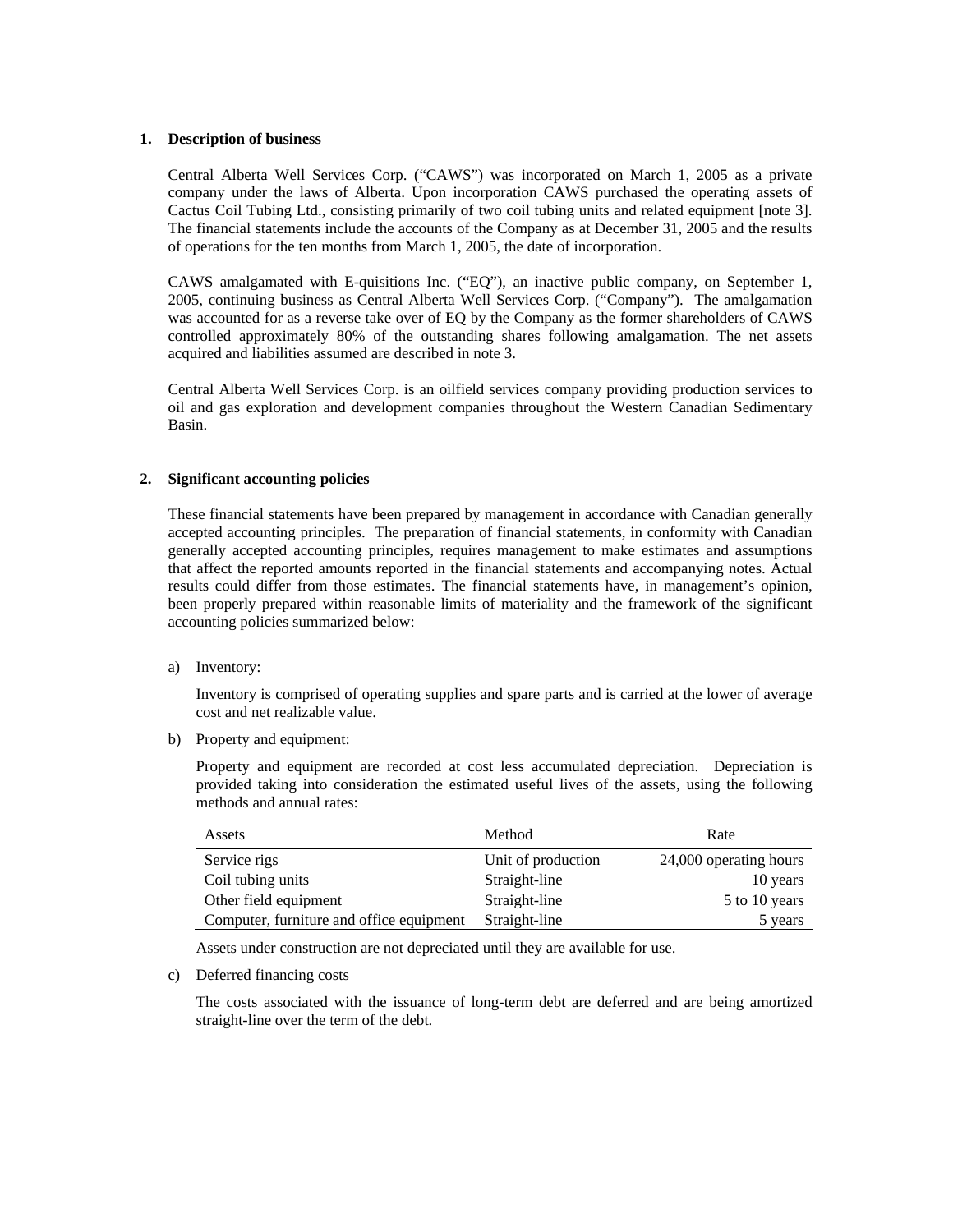#### **1. Description of business**

Central Alberta Well Services Corp. ("CAWS") was incorporated on March 1, 2005 as a private company under the laws of Alberta. Upon incorporation CAWS purchased the operating assets of Cactus Coil Tubing Ltd., consisting primarily of two coil tubing units and related equipment [note 3]. The financial statements include the accounts of the Company as at December 31, 2005 and the results of operations for the ten months from March 1, 2005, the date of incorporation.

CAWS amalgamated with E-quisitions Inc. ("EQ"), an inactive public company, on September 1, 2005, continuing business as Central Alberta Well Services Corp. ("Company"). The amalgamation was accounted for as a reverse take over of EQ by the Company as the former shareholders of CAWS controlled approximately 80% of the outstanding shares following amalgamation. The net assets acquired and liabilities assumed are described in note 3.

Central Alberta Well Services Corp. is an oilfield services company providing production services to oil and gas exploration and development companies throughout the Western Canadian Sedimentary Basin.

### **2. Significant accounting policies**

These financial statements have been prepared by management in accordance with Canadian generally accepted accounting principles. The preparation of financial statements, in conformity with Canadian generally accepted accounting principles, requires management to make estimates and assumptions that affect the reported amounts reported in the financial statements and accompanying notes. Actual results could differ from those estimates. The financial statements have, in management's opinion, been properly prepared within reasonable limits of materiality and the framework of the significant accounting policies summarized below:

a) Inventory:

Inventory is comprised of operating supplies and spare parts and is carried at the lower of average cost and net realizable value.

b) Property and equipment:

Property and equipment are recorded at cost less accumulated depreciation. Depreciation is provided taking into consideration the estimated useful lives of the assets, using the following methods and annual rates:

| Assets                                   | Method             | Rate                   |
|------------------------------------------|--------------------|------------------------|
| Service rigs                             | Unit of production | 24,000 operating hours |
| Coil tubing units                        | Straight-line      | 10 years               |
| Other field equipment                    | Straight-line      | 5 to 10 years          |
| Computer, furniture and office equipment | Straight-line      | 5 years                |

Assets under construction are not depreciated until they are available for use.

c) Deferred financing costs

The costs associated with the issuance of long-term debt are deferred and are being amortized straight-line over the term of the debt.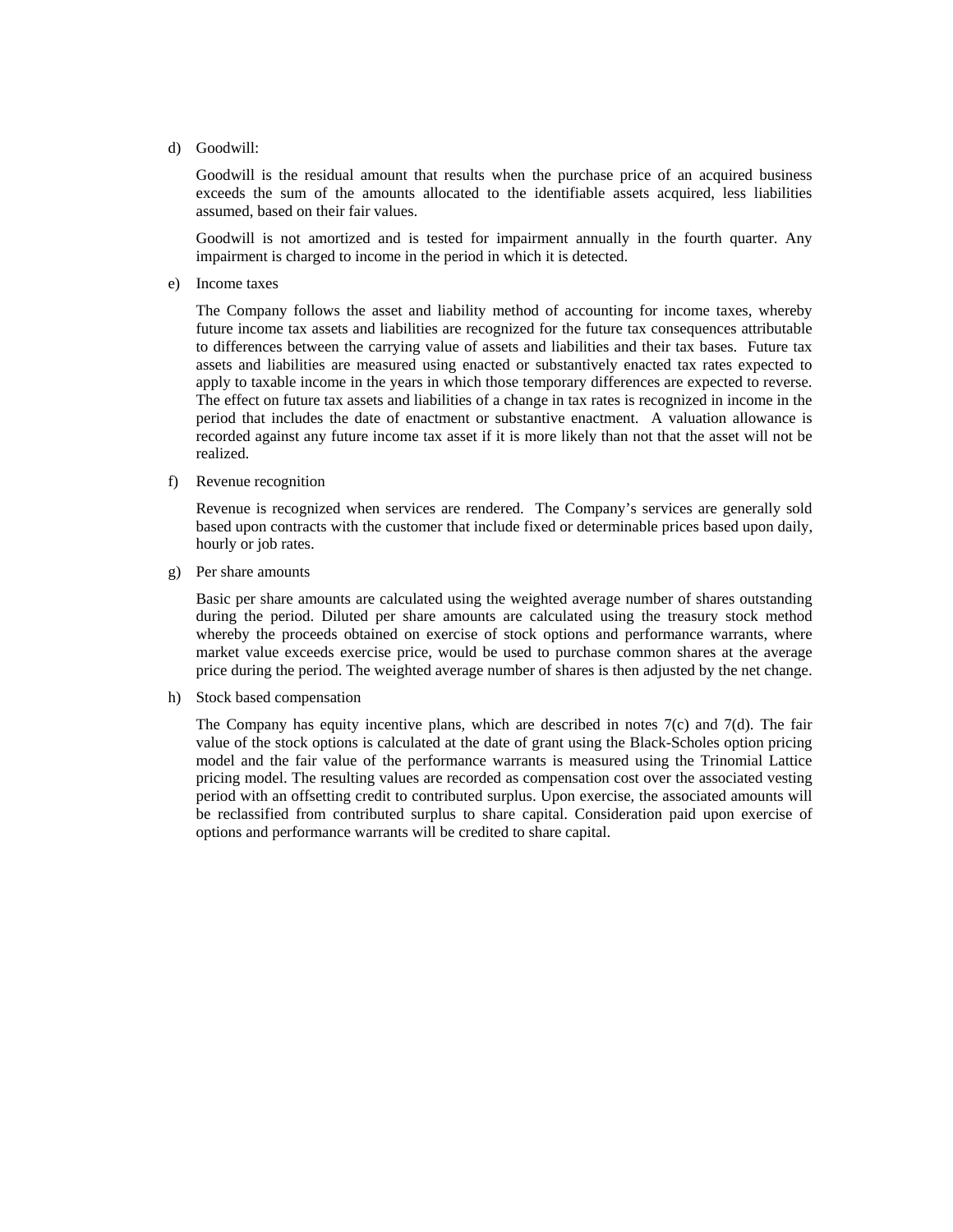d) Goodwill:

Goodwill is the residual amount that results when the purchase price of an acquired business exceeds the sum of the amounts allocated to the identifiable assets acquired, less liabilities assumed, based on their fair values.

Goodwill is not amortized and is tested for impairment annually in the fourth quarter. Any impairment is charged to income in the period in which it is detected.

e) Income taxes

The Company follows the asset and liability method of accounting for income taxes, whereby future income tax assets and liabilities are recognized for the future tax consequences attributable to differences between the carrying value of assets and liabilities and their tax bases. Future tax assets and liabilities are measured using enacted or substantively enacted tax rates expected to apply to taxable income in the years in which those temporary differences are expected to reverse. The effect on future tax assets and liabilities of a change in tax rates is recognized in income in the period that includes the date of enactment or substantive enactment. A valuation allowance is recorded against any future income tax asset if it is more likely than not that the asset will not be realized.

f) Revenue recognition

Revenue is recognized when services are rendered. The Company's services are generally sold based upon contracts with the customer that include fixed or determinable prices based upon daily, hourly or job rates.

g) Per share amounts

Basic per share amounts are calculated using the weighted average number of shares outstanding during the period. Diluted per share amounts are calculated using the treasury stock method whereby the proceeds obtained on exercise of stock options and performance warrants, where market value exceeds exercise price, would be used to purchase common shares at the average price during the period. The weighted average number of shares is then adjusted by the net change.

h) Stock based compensation

The Company has equity incentive plans, which are described in notes 7(c) and 7(d). The fair value of the stock options is calculated at the date of grant using the Black-Scholes option pricing model and the fair value of the performance warrants is measured using the Trinomial Lattice pricing model. The resulting values are recorded as compensation cost over the associated vesting period with an offsetting credit to contributed surplus. Upon exercise, the associated amounts will be reclassified from contributed surplus to share capital. Consideration paid upon exercise of options and performance warrants will be credited to share capital.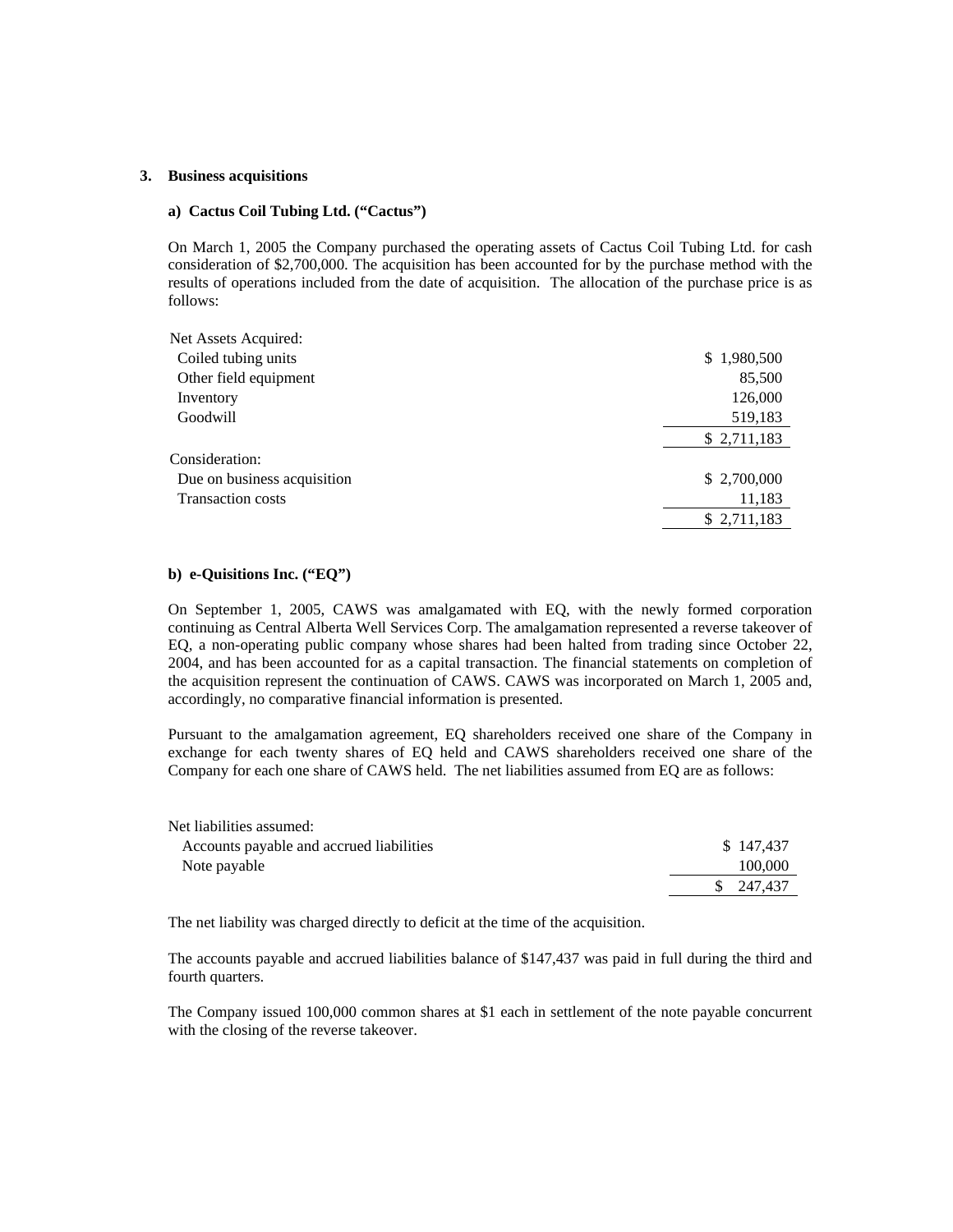#### **3. Business acquisitions**

#### **a) Cactus Coil Tubing Ltd. ("Cactus")**

On March 1, 2005 the Company purchased the operating assets of Cactus Coil Tubing Ltd. for cash consideration of \$2,700,000. The acquisition has been accounted for by the purchase method with the results of operations included from the date of acquisition. The allocation of the purchase price is as follows:

| Net Assets Acquired:        |             |
|-----------------------------|-------------|
| Coiled tubing units         | \$1,980,500 |
| Other field equipment       | 85,500      |
| Inventory                   | 126,000     |
| Goodwill                    | 519,183     |
|                             | \$2,711,183 |
| Consideration:              |             |
| Due on business acquisition | \$2,700,000 |
| <b>Transaction costs</b>    | 11,183      |
|                             | \$2,711,183 |
|                             |             |

### **b) e-Quisitions Inc. ("EQ")**

On September 1, 2005, CAWS was amalgamated with EQ, with the newly formed corporation continuing as Central Alberta Well Services Corp. The amalgamation represented a reverse takeover of EQ, a non-operating public company whose shares had been halted from trading since October 22, 2004, and has been accounted for as a capital transaction. The financial statements on completion of the acquisition represent the continuation of CAWS. CAWS was incorporated on March 1, 2005 and, accordingly, no comparative financial information is presented.

Pursuant to the amalgamation agreement, EQ shareholders received one share of the Company in exchange for each twenty shares of EQ held and CAWS shareholders received one share of the Company for each one share of CAWS held. The net liabilities assumed from EQ are as follows:

| Net liabilities assumed:                 |            |
|------------------------------------------|------------|
| Accounts payable and accrued liabilities | \$147,437  |
| Note payable                             | 100,000    |
|                                          | \$ 247,437 |

The net liability was charged directly to deficit at the time of the acquisition.

The accounts payable and accrued liabilities balance of \$147,437 was paid in full during the third and fourth quarters.

The Company issued 100,000 common shares at \$1 each in settlement of the note payable concurrent with the closing of the reverse takeover.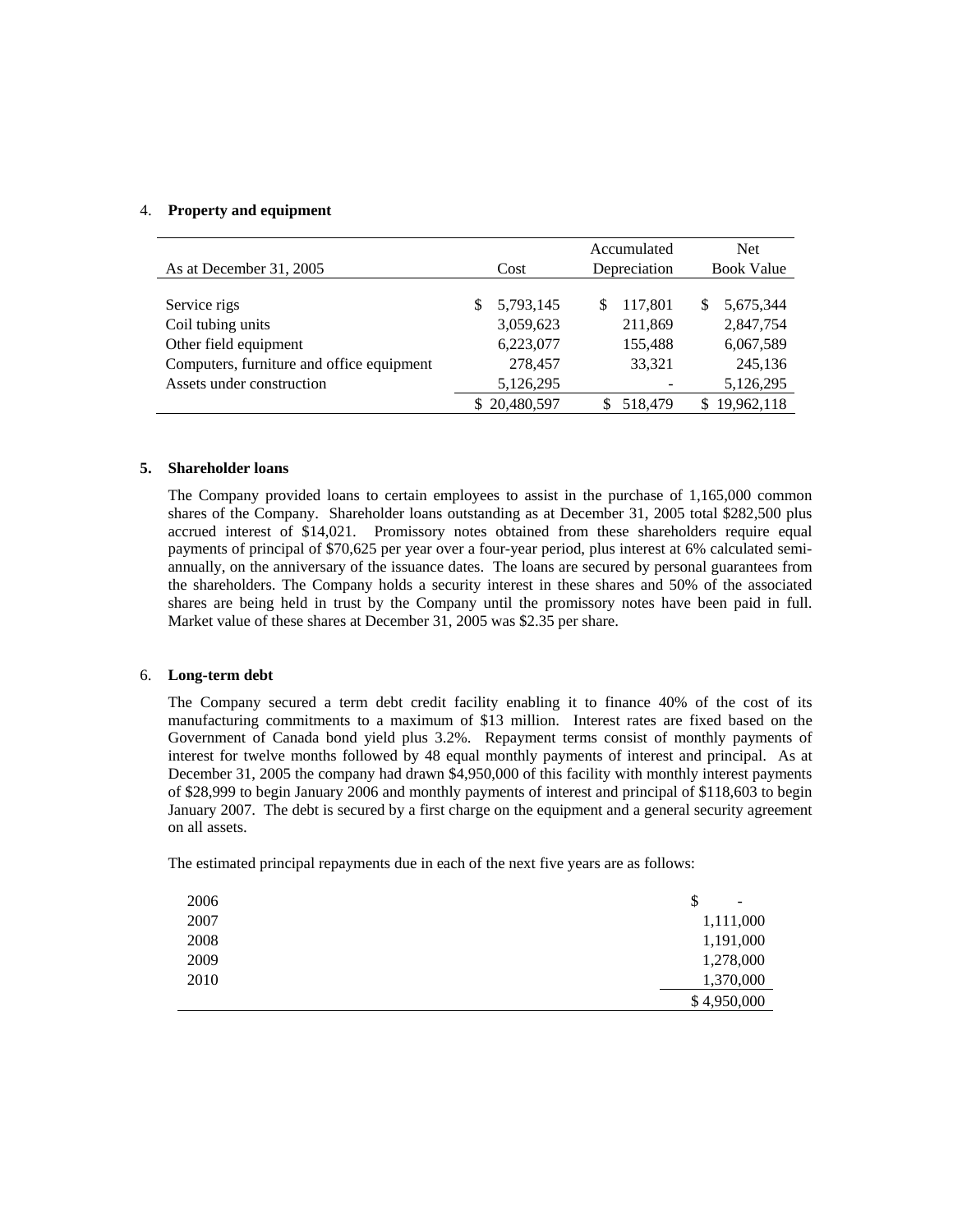### 4. **Property and equipment**

|                                           |                | Accumulated   | <b>Net</b>        |
|-------------------------------------------|----------------|---------------|-------------------|
| As at December 31, 2005                   | Cost           | Depreciation  | <b>Book Value</b> |
|                                           |                |               |                   |
| Service rigs                              | 5,793,145<br>S | 117,801<br>\$ | 5,675,344<br>S    |
| Coil tubing units                         | 3,059,623      | 211,869       | 2,847,754         |
| Other field equipment                     | 6,223,077      | 155,488       | 6,067,589         |
| Computers, furniture and office equipment | 278,457        | 33,321        | 245,136           |
| Assets under construction                 | 5,126,295      |               | 5,126,295         |
|                                           | \$20,480,597   | 518,479       | 19,962,118        |

#### **5. Shareholder loans**

The Company provided loans to certain employees to assist in the purchase of 1,165,000 common shares of the Company. Shareholder loans outstanding as at December 31, 2005 total \$282,500 plus accrued interest of \$14,021. Promissory notes obtained from these shareholders require equal payments of principal of \$70,625 per year over a four-year period, plus interest at 6% calculated semiannually, on the anniversary of the issuance dates. The loans are secured by personal guarantees from the shareholders. The Company holds a security interest in these shares and 50% of the associated shares are being held in trust by the Company until the promissory notes have been paid in full. Market value of these shares at December 31, 2005 was \$2.35 per share.

#### 6. **Long-term debt**

The Company secured a term debt credit facility enabling it to finance 40% of the cost of its manufacturing commitments to a maximum of \$13 million. Interest rates are fixed based on the Government of Canada bond yield plus 3.2%. Repayment terms consist of monthly payments of interest for twelve months followed by 48 equal monthly payments of interest and principal. As at December 31, 2005 the company had drawn \$4,950,000 of this facility with monthly interest payments of \$28,999 to begin January 2006 and monthly payments of interest and principal of \$118,603 to begin January 2007. The debt is secured by a first charge on the equipment and a general security agreement on all assets.

The estimated principal repayments due in each of the next five years are as follows:

| 2006 | S<br>-      |
|------|-------------|
| 2007 | 1,111,000   |
| 2008 | 1,191,000   |
| 2009 | 1,278,000   |
| 2010 | 1,370,000   |
|      | \$4,950,000 |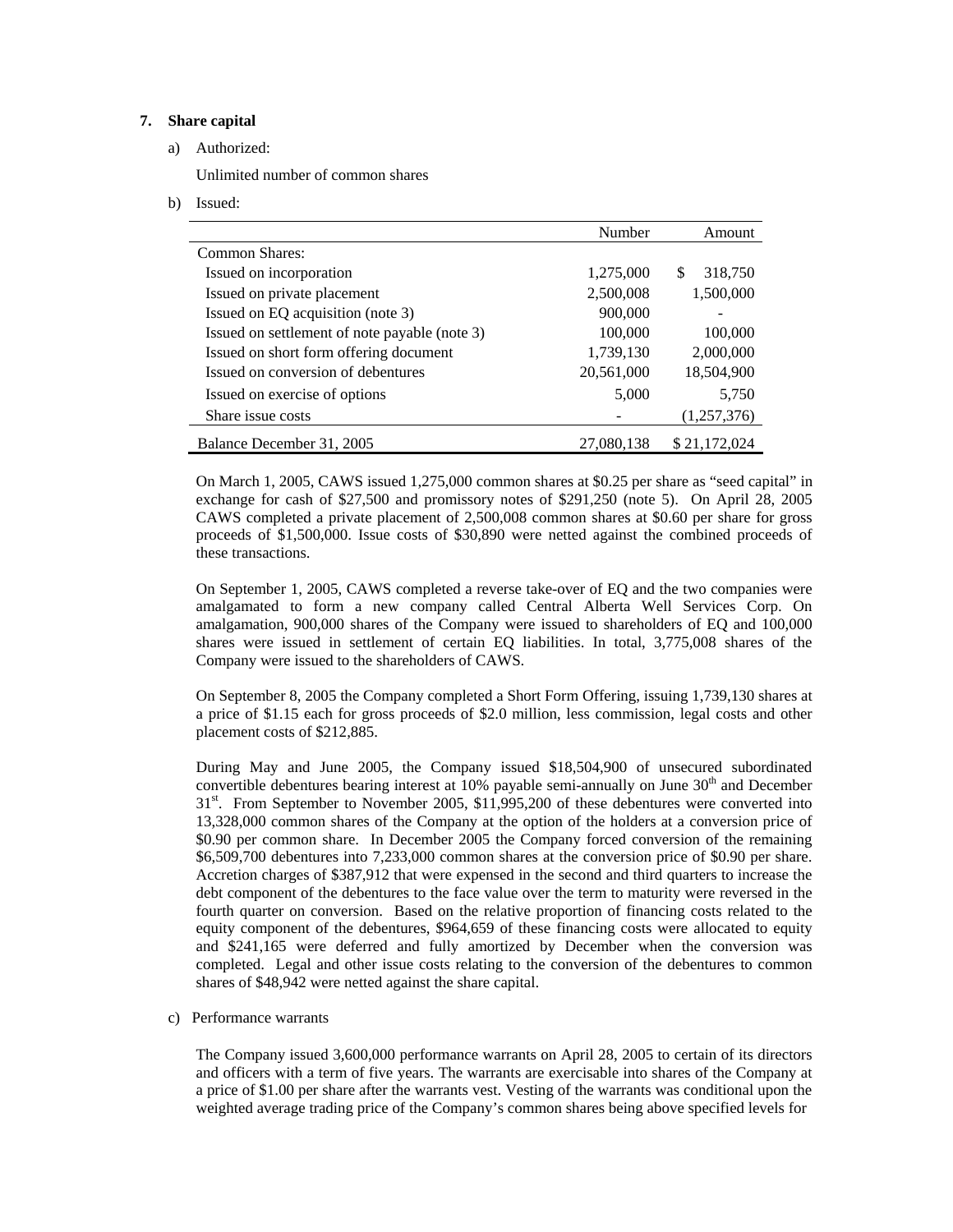## **7. Share capital**

### a) Authorized:

Unlimited number of common shares

b) Issued:

|                                               | Number     | Amount         |
|-----------------------------------------------|------------|----------------|
| Common Shares:                                |            |                |
| Issued on incorporation                       | 1,275,000  | 318,750<br>\$. |
| Issued on private placement                   | 2,500,008  | 1,500,000      |
| Issued on EQ acquisition (note 3)             | 900,000    |                |
| Issued on settlement of note payable (note 3) | 100,000    | 100,000        |
| Issued on short form offering document        | 1,739,130  | 2,000,000      |
| Issued on conversion of debentures            | 20,561,000 | 18,504,900     |
| Issued on exercise of options                 | 5,000      | 5,750          |
| Share issue costs                             |            | (1,257,376)    |
| Balance December 31, 2005                     | 27,080,138 | \$21,172,024   |

On March 1, 2005, CAWS issued 1,275,000 common shares at \$0.25 per share as "seed capital" in exchange for cash of \$27,500 and promissory notes of \$291,250 (note 5). On April 28, 2005 CAWS completed a private placement of 2,500,008 common shares at \$0.60 per share for gross proceeds of \$1,500,000. Issue costs of \$30,890 were netted against the combined proceeds of these transactions.

On September 1, 2005, CAWS completed a reverse take-over of EQ and the two companies were amalgamated to form a new company called Central Alberta Well Services Corp. On amalgamation, 900,000 shares of the Company were issued to shareholders of EQ and 100,000 shares were issued in settlement of certain EQ liabilities. In total, 3,775,008 shares of the Company were issued to the shareholders of CAWS.

On September 8, 2005 the Company completed a Short Form Offering, issuing 1,739,130 shares at a price of \$1.15 each for gross proceeds of \$2.0 million, less commission, legal costs and other placement costs of \$212,885.

During May and June 2005, the Company issued \$18,504,900 of unsecured subordinated convertible debentures bearing interest at  $10\%$  payable semi-annually on June  $30<sup>th</sup>$  and December 31<sup>st</sup>. From September to November 2005, \$11,995,200 of these debentures were converted into 13,328,000 common shares of the Company at the option of the holders at a conversion price of \$0.90 per common share. In December 2005 the Company forced conversion of the remaining \$6,509,700 debentures into 7,233,000 common shares at the conversion price of \$0.90 per share. Accretion charges of \$387,912 that were expensed in the second and third quarters to increase the debt component of the debentures to the face value over the term to maturity were reversed in the fourth quarter on conversion. Based on the relative proportion of financing costs related to the equity component of the debentures, \$964,659 of these financing costs were allocated to equity and \$241,165 were deferred and fully amortized by December when the conversion was completed. Legal and other issue costs relating to the conversion of the debentures to common shares of \$48,942 were netted against the share capital.

#### c) Performance warrants

The Company issued 3,600,000 performance warrants on April 28, 2005 to certain of its directors and officers with a term of five years. The warrants are exercisable into shares of the Company at a price of \$1.00 per share after the warrants vest. Vesting of the warrants was conditional upon the weighted average trading price of the Company's common shares being above specified levels for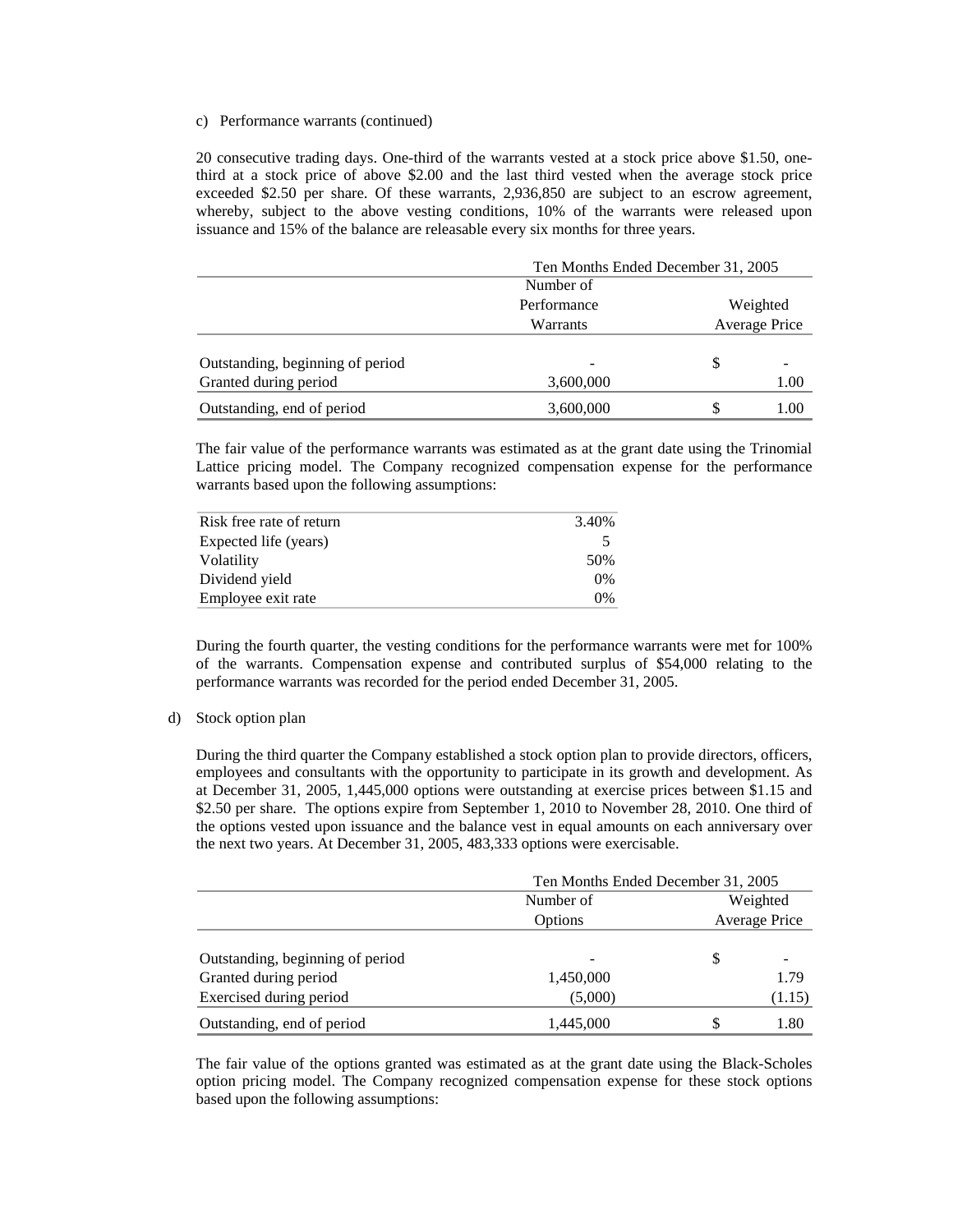#### c) Performance warrants (continued)

20 consecutive trading days. One-third of the warrants vested at a stock price above \$1.50, onethird at a stock price of above \$2.00 and the last third vested when the average stock price exceeded \$2.50 per share. Of these warrants, 2,936,850 are subject to an escrow agreement, whereby, subject to the above vesting conditions, 10% of the warrants were released upon issuance and 15% of the balance are releasable every six months for three years.

|                                  | Ten Months Ended December 31, 2005 |          |               |  |
|----------------------------------|------------------------------------|----------|---------------|--|
|                                  | Number of                          |          |               |  |
|                                  | Performance                        | Weighted |               |  |
|                                  | Warrants                           |          | Average Price |  |
|                                  |                                    |          |               |  |
| Outstanding, beginning of period |                                    | S        |               |  |
| Granted during period            | 3,600,000                          |          | 1.00          |  |
| Outstanding, end of period       | 3,600,000                          | S        | 1.00          |  |

The fair value of the performance warrants was estimated as at the grant date using the Trinomial Lattice pricing model. The Company recognized compensation expense for the performance warrants based upon the following assumptions:

| Risk free rate of return | 3.40% |
|--------------------------|-------|
| Expected life (years)    |       |
| Volatility               | 50%   |
| Dividend vield           | $0\%$ |
| Employee exit rate       | 0%    |

During the fourth quarter, the vesting conditions for the performance warrants were met for 100% of the warrants. Compensation expense and contributed surplus of \$54,000 relating to the performance warrants was recorded for the period ended December 31, 2005.

#### d) Stock option plan

During the third quarter the Company established a stock option plan to provide directors, officers, employees and consultants with the opportunity to participate in its growth and development. As at December 31, 2005, 1,445,000 options were outstanding at exercise prices between \$1.15 and \$2.50 per share. The options expire from September 1, 2010 to November 28, 2010. One third of the options vested upon issuance and the balance vest in equal amounts on each anniversary over the next two years. At December 31, 2005, 483,333 options were exercisable.

|                                  | Ten Months Ended December 31, 2005 |          |               |  |
|----------------------------------|------------------------------------|----------|---------------|--|
|                                  | Number of                          | Weighted |               |  |
|                                  | Options                            |          | Average Price |  |
|                                  |                                    |          |               |  |
| Outstanding, beginning of period |                                    | S        |               |  |
| Granted during period            | 1,450,000                          |          | 1.79          |  |
| Exercised during period          | (5,000)                            |          | (1.15)        |  |
| Outstanding, end of period       | 1,445,000                          |          | 1.80          |  |

The fair value of the options granted was estimated as at the grant date using the Black-Scholes option pricing model. The Company recognized compensation expense for these stock options based upon the following assumptions: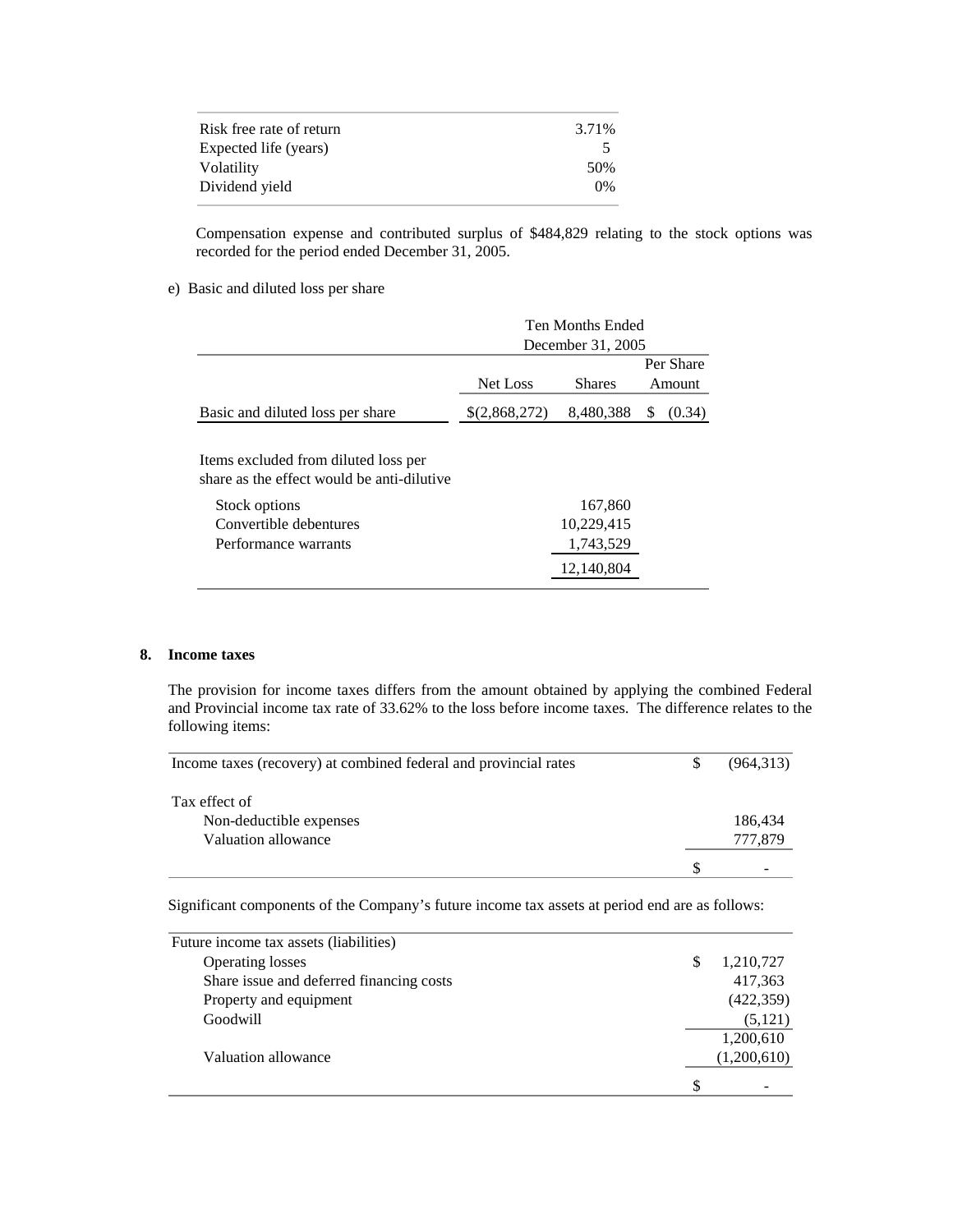| Risk free rate of return | 3.71% |
|--------------------------|-------|
| Expected life (years)    |       |
| Volatility               | .50%  |
| Dividend vield           | $0\%$ |

Compensation expense and contributed surplus of \$484,829 relating to the stock options was recorded for the period ended December 31, 2005.

### e) Basic and diluted loss per share

|                                                                                                                                                       | <b>Ten Months Ended</b> |                                                  |   |               |
|-------------------------------------------------------------------------------------------------------------------------------------------------------|-------------------------|--------------------------------------------------|---|---------------|
|                                                                                                                                                       | December 31, 2005       |                                                  |   |               |
|                                                                                                                                                       |                         |                                                  |   | Per Share     |
|                                                                                                                                                       | Net Loss                | <b>Shares</b>                                    |   | <b>Amount</b> |
| Basic and diluted loss per share                                                                                                                      | \$(2,868,272)           | 8,480,388                                        | S | (0.34)        |
| Items excluded from diluted loss per<br>share as the effect would be anti-dilutive<br>Stock options<br>Convertible debentures<br>Performance warrants |                         | 167,860<br>10,229,415<br>1,743,529<br>12.140.804 |   |               |

#### **8. Income taxes**

The provision for income taxes differs from the amount obtained by applying the combined Federal and Provincial income tax rate of 33.62% to the loss before income taxes. The difference relates to the following items:

| Income taxes (recovery) at combined federal and provincial rates | (964,313) |
|------------------------------------------------------------------|-----------|
|                                                                  |           |
| Tax effect of                                                    |           |
| Non-deductible expenses                                          | 186,434   |
| Valuation allowance                                              | 777,879   |
|                                                                  |           |

Significant components of the Company's future income tax assets at period end are as follows:

| Future income tax assets (liabilities)   |    |             |
|------------------------------------------|----|-------------|
| <b>Operating losses</b>                  |    | 1,210,727   |
| Share issue and deferred financing costs |    | 417,363     |
| Property and equipment                   |    | (422, 359)  |
| Goodwill                                 |    | (5,121)     |
|                                          |    | 1,200,610   |
| Valuation allowance                      |    | (1,200,610) |
|                                          | -S |             |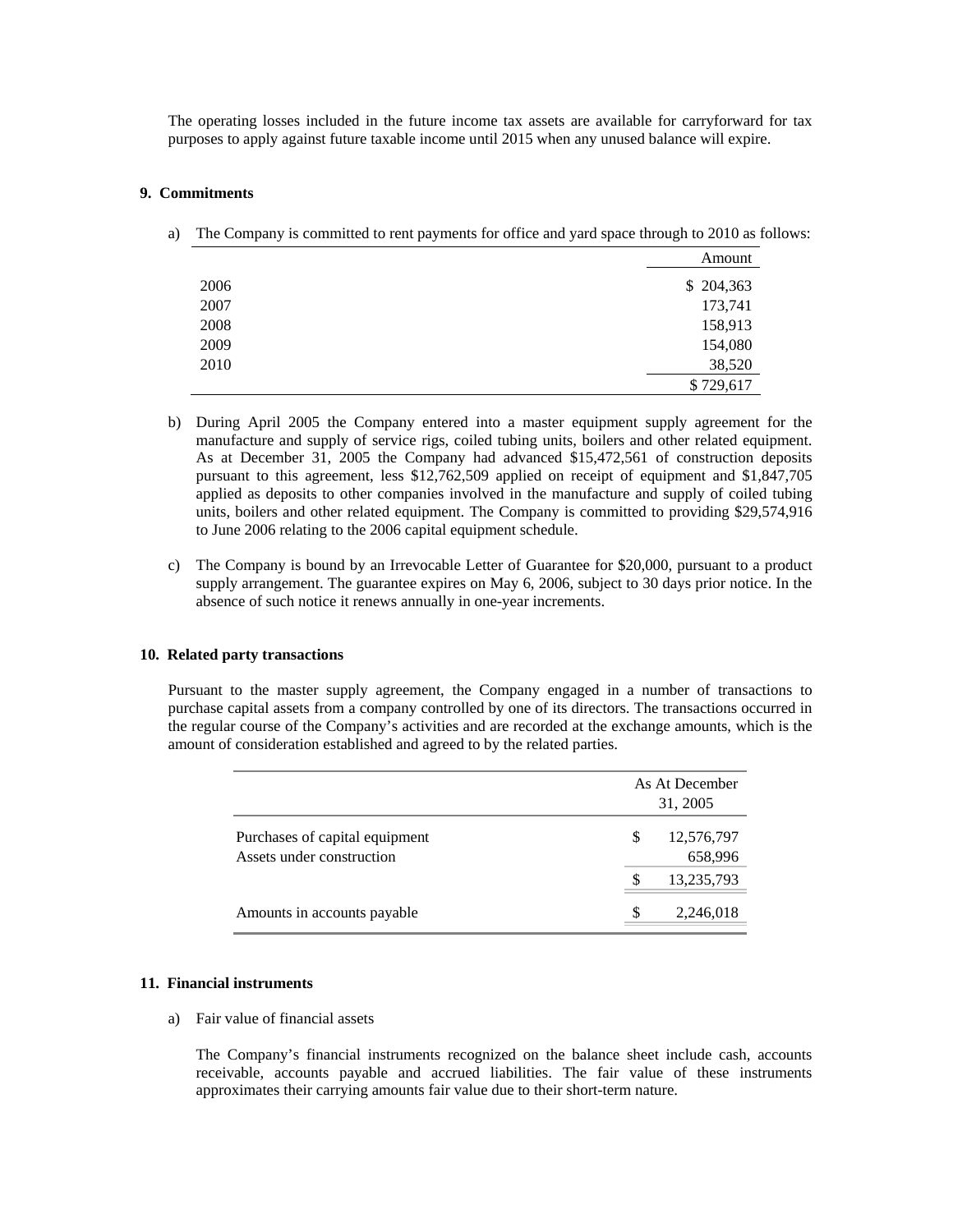The operating losses included in the future income tax assets are available for carryforward for tax purposes to apply against future taxable income until 2015 when any unused balance will expire.

#### **9. Commitments**

a) The Company is committed to rent payments for office and yard space through to 2010 as follows:

|      | Amount     |
|------|------------|
| 2006 | \$ 204,363 |
| 2007 | 173,741    |
| 2008 | 158,913    |
| 2009 | 154,080    |
| 2010 | 38,520     |
|      | \$729,617  |

- b) During April 2005 the Company entered into a master equipment supply agreement for the manufacture and supply of service rigs, coiled tubing units, boilers and other related equipment. As at December 31, 2005 the Company had advanced \$15,472,561 of construction deposits pursuant to this agreement, less \$12,762,509 applied on receipt of equipment and \$1,847,705 applied as deposits to other companies involved in the manufacture and supply of coiled tubing units, boilers and other related equipment. The Company is committed to providing \$29,574,916 to June 2006 relating to the 2006 capital equipment schedule.
- c) The Company is bound by an Irrevocable Letter of Guarantee for \$20,000, pursuant to a product supply arrangement. The guarantee expires on May 6, 2006, subject to 30 days prior notice. In the absence of such notice it renews annually in one-year increments.

#### **10. Related party transactions**

Pursuant to the master supply agreement, the Company engaged in a number of transactions to purchase capital assets from a company controlled by one of its directors. The transactions occurred in the regular course of the Company's activities and are recorded at the exchange amounts, which is the amount of consideration established and agreed to by the related parties.

|                                                             | As At December<br>31, 2005 |                       |
|-------------------------------------------------------------|----------------------------|-----------------------|
| Purchases of capital equipment<br>Assets under construction | S                          | 12,576,797<br>658,996 |
|                                                             |                            | 13,235,793            |
| Amounts in accounts payable                                 | S                          | 2,246,018             |

#### **11. Financial instruments**

a) Fair value of financial assets

The Company's financial instruments recognized on the balance sheet include cash, accounts receivable, accounts payable and accrued liabilities. The fair value of these instruments approximates their carrying amounts fair value due to their short-term nature.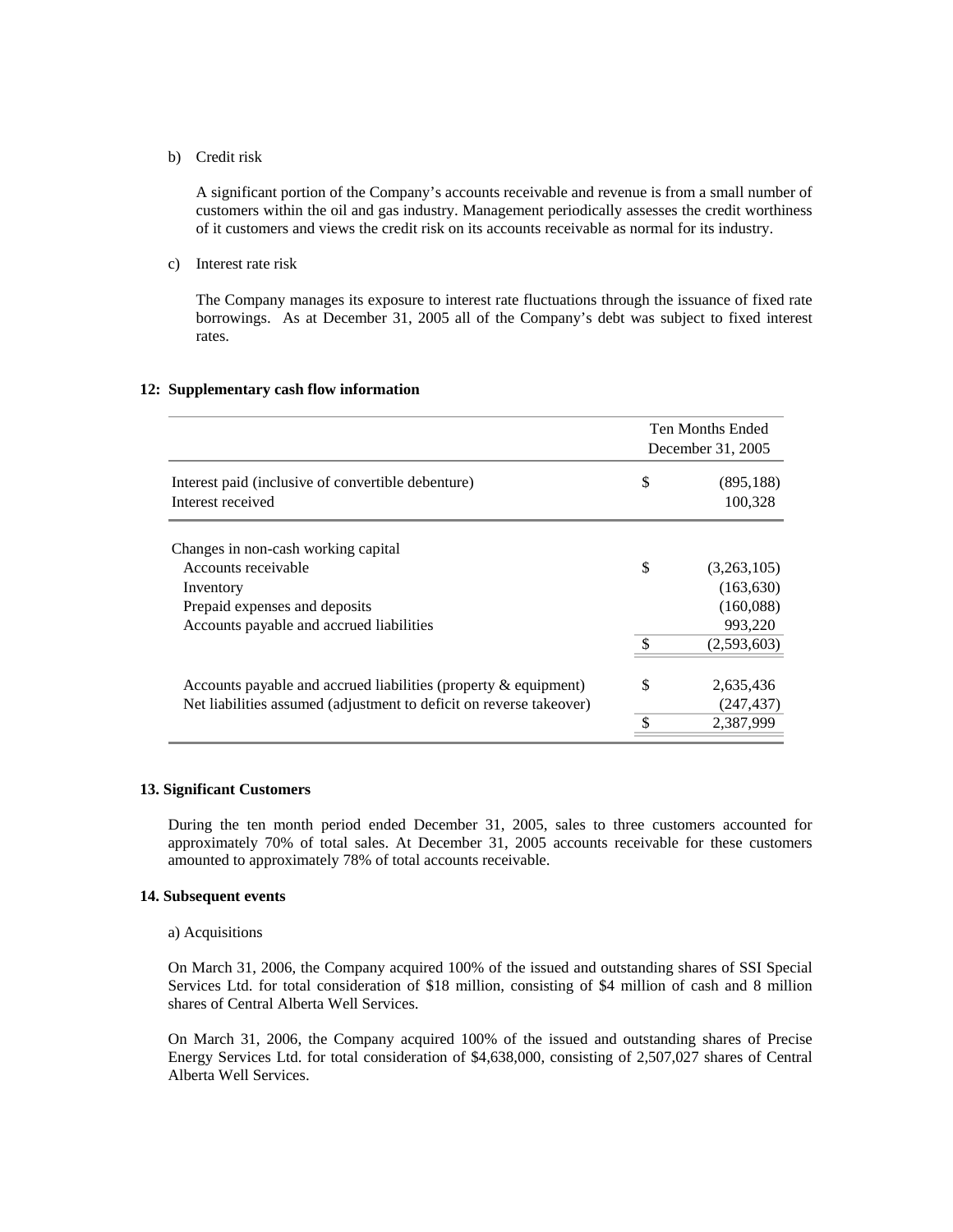#### b) Credit risk

A significant portion of the Company's accounts receivable and revenue is from a small number of customers within the oil and gas industry. Management periodically assesses the credit worthiness of it customers and views the credit risk on its accounts receivable as normal for its industry.

c) Interest rate risk

The Company manages its exposure to interest rate fluctuations through the issuance of fixed rate borrowings. As at December 31, 2005 all of the Company's debt was subject to fixed interest rates.

# **12: Supplementary cash flow information**

|                                                                         |    | Ten Months Ended<br>December 31, 2005 |  |
|-------------------------------------------------------------------------|----|---------------------------------------|--|
| Interest paid (inclusive of convertible debenture)<br>Interest received | \$ | (895, 188)<br>100,328                 |  |
| Changes in non-cash working capital                                     |    |                                       |  |
| Accounts receivable                                                     | \$ | (3,263,105)                           |  |
| Inventory                                                               |    | (163, 630)                            |  |
| Prepaid expenses and deposits                                           |    | (160,088)                             |  |
| Accounts payable and accrued liabilities                                |    | 993,220                               |  |
|                                                                         | \$ | (2,593,603)                           |  |
| Accounts payable and accrued liabilities (property $\&$ equipment)      | S. | 2,635,436                             |  |
| Net liabilities assumed (adjustment to deficit on reverse takeover)     |    | (247, 437)                            |  |
|                                                                         |    | 2,387,999                             |  |

#### **13. Significant Customers**

During the ten month period ended December 31, 2005, sales to three customers accounted for approximately 70% of total sales. At December 31, 2005 accounts receivable for these customers amounted to approximately 78% of total accounts receivable.

### **14. Subsequent events**

#### a) Acquisitions

On March 31, 2006, the Company acquired 100% of the issued and outstanding shares of SSI Special Services Ltd. for total consideration of \$18 million, consisting of \$4 million of cash and 8 million shares of Central Alberta Well Services.

On March 31, 2006, the Company acquired 100% of the issued and outstanding shares of Precise Energy Services Ltd. for total consideration of \$4,638,000, consisting of 2,507,027 shares of Central Alberta Well Services.